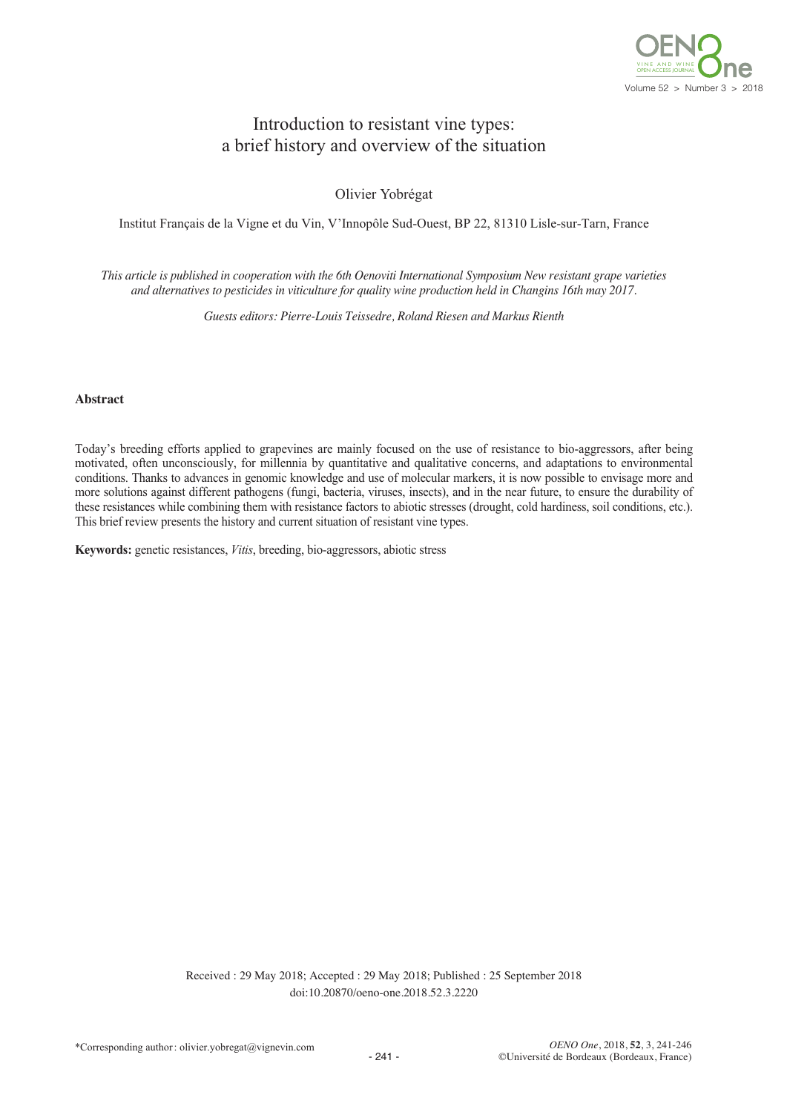

# Introduction to resistant vine types: a brief history and overview of the situation

Olivier Yobrégat

Institut Français de la Vigne et du Vin, V'Innopôle Sud-Ouest, BP 22, 81310 Lisle-sur-Tarn, France

This article is published in cooperation with the 6th Oenoviti International Symposium New resistant grape varieties *and alternatives to pesticides in viticulture for quality wine production held in Changins 16th may 2017.*

*Guests editors: Pierre-Louis Teissedre, Roland Riesen and Markus Rienth*

#### **Abstract**

Today's breeding efforts applied to grapevines are mainly focused on the use of resistance to bio-aggressors, after being motivated, often unconsciously, for millennia by quantitative and qualitative concerns, and adaptations to environmental conditions. Thanks to advances in genomic knowledge and use of molecular markers, it is now possible to envisage more and more solutions against different pathogens (fungi, bacteria, viruses, insects), and in the near future, to ensure the durability of these resistances while combining them with resistance factors to abiotic stresses (drought, cold hardiness, soil conditions, etc.). This brief review presents the history and current situation of resistant vine types.

**Keywords:** genetic resistances, *Vitis*, breeding, bio-aggressors, abiotic stress

Received : 29 May 2018; Accepted : 29 May 2018; Published : 25 September 2018 doi:10.20870/oeno-one.2018.52.3.2220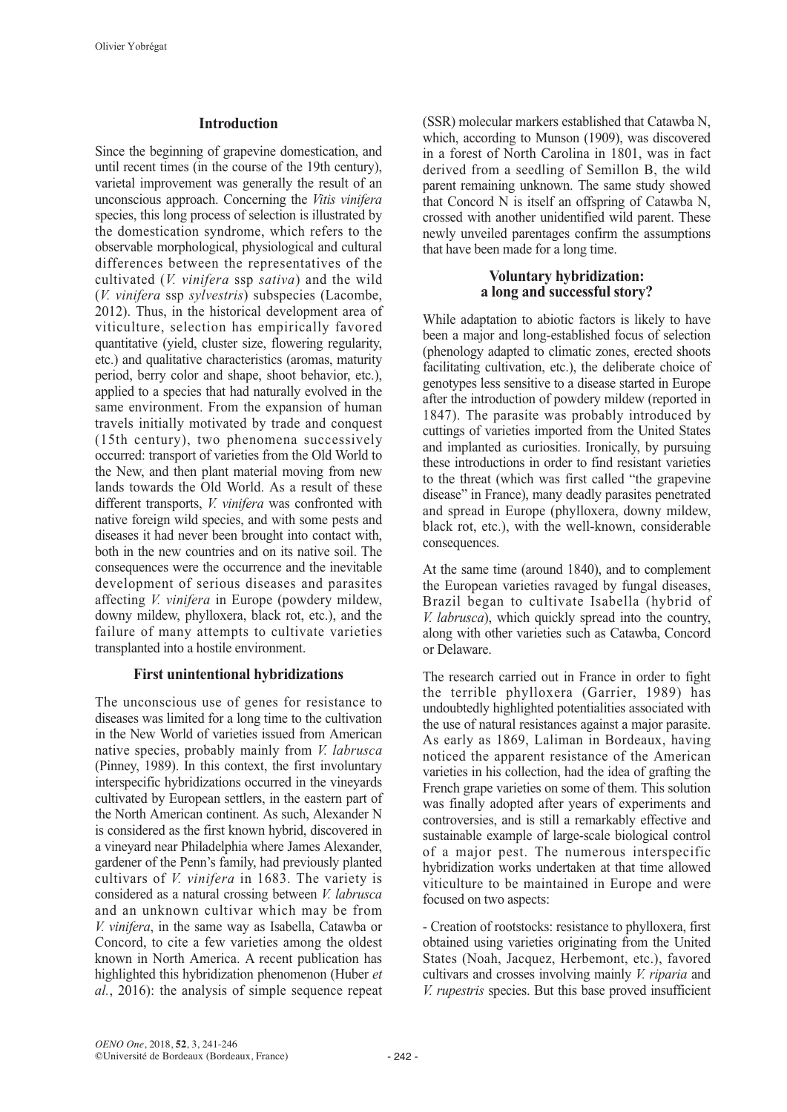#### **Introduction**

Since the beginning of grapevine domestication, and until recent times (in the course of the 19th century), varietal improvement was generally the result of an unconscious approach. Concerning the *Vitis vinifera* species, this long process of selection is illustrated by the domestication syndrome, which refers to the observable morphological, physiological and cultural differences between the representatives of the cultivated (*V. vinifera* ssp *sativa*) and the wild (*V. vinifera* ssp *sylvestris*) subspecies (Lacombe, 2012). Thus, in the historical development area of viticulture, selection has empirically favored quantitative (yield, cluster size, flowering regularity, etc.) and qualitative characteristics (aromas, maturity period, berry color and shape, shoot behavior, etc.), applied to a species that had naturally evolved in the same environment. From the expansion of human travels initially motivated by trade and conquest (15th century), two phenomena successively occurred: transport of varieties from the Old World to the New, and then plant material moving from new lands towards the Old World. As a result of these different transports, *V. vinifera* was confronted with native foreign wild species, and with some pests and diseases it had never been brought into contact with, both in the new countries and on its native soil. The consequences were the occurrence and the inevitable development of serious diseases and parasites affecting *V. vinifera* in Europe (powdery mildew, downy mildew, phylloxera, black rot, etc.), and the failure of many attempts to cultivate varieties transplanted into a hostile environment.

#### **First unintentional hybridizations**

The unconscious use of genes for resistance to diseases was limited for a long time to the cultivation in the New World of varieties issued from American native species, probably mainly from *V. labrusca* (Pinney, 1989). In this context, the first involuntary interspecific hybridizations occurred in the vineyards cultivated by European settlers, in the eastern part of the North American continent. As such, Alexander N is considered as the first known hybrid, discovered in a vineyard near Philadelphia where James Alexander, gardener of the Penn's family, had previously planted cultivars of *V. vinifera* in 1683. The variety is considered as a natural crossing between *V. labrusca* and an unknown cultivar which may be from *V. vinifera*, in the same way as Isabella, Catawba or Concord, to cite a few varieties among the oldest known in North America. A recent publication has highlighted this hybridization phenomenon (Huber *et al.*, 2016): the analysis of simple sequence repeat (SSR) molecular markers established that Catawba N, which, according to Munson (1909), was discovered in a forest of North Carolina in 1801, was in fact derived from a seedling of Semillon B, the wild parent remaining unknown. The same study showed that Concord N is itself an offspring of Catawba N, crossed with another unidentified wild parent. These newly unveiled parentages confirm the assumptions that have been made for a long time.

#### **Voluntary hybridization: a long and successful story?**

While adaptation to abiotic factors is likely to have been a major and long-established focus of selection (phenology adapted to climatic zones, erected shoots facilitating cultivation, etc.), the deliberate choice of genotypes less sensitive to a disease started in Europe after the introduction of powdery mildew (reported in 1847). The parasite was probably introduced by cuttings of varieties imported from the United States and implanted as curiosities. Ironically, by pursuing these introductions in order to find resistant varieties to the threat (which was first called "the grapevine disease" in France), many deadly parasites penetrated and spread in Europe (phylloxera, downy mildew, black rot, etc.), with the well-known, considerable consequences.

At the same time (around 1840), and to complement the European varieties ravaged by fungal diseases, Brazil began to cultivate Isabella (hybrid of *V. labrusca*), which quickly spread into the country, along with other varieties such as Catawba, Concord or Delaware.

The research carried out in France in order to fight the terrible phylloxera (Garrier, 1989) has undoubtedly highlighted potentialities associated with the use of natural resistances against a major parasite. As early as 1869, Laliman in Bordeaux, having noticed the apparent resistance of the American varieties in his collection, had the idea of grafting the French grape varieties on some of them. This solution was finally adopted after years of experiments and controversies, and is still a remarkably effective and sustainable example of large-scale biological control of a major pest. The numerous interspecific hybridization works undertaken at that time allowed viticulture to be maintained in Europe and were focused on two aspects:

- Creation of rootstocks: resistance to phylloxera, first obtained using varieties originating from the United States (Noah, Jacquez, Herbemont, etc.), favored cultivars and crosses involving mainly *V. riparia* and *V. rupestris* species. But this base proved insufficient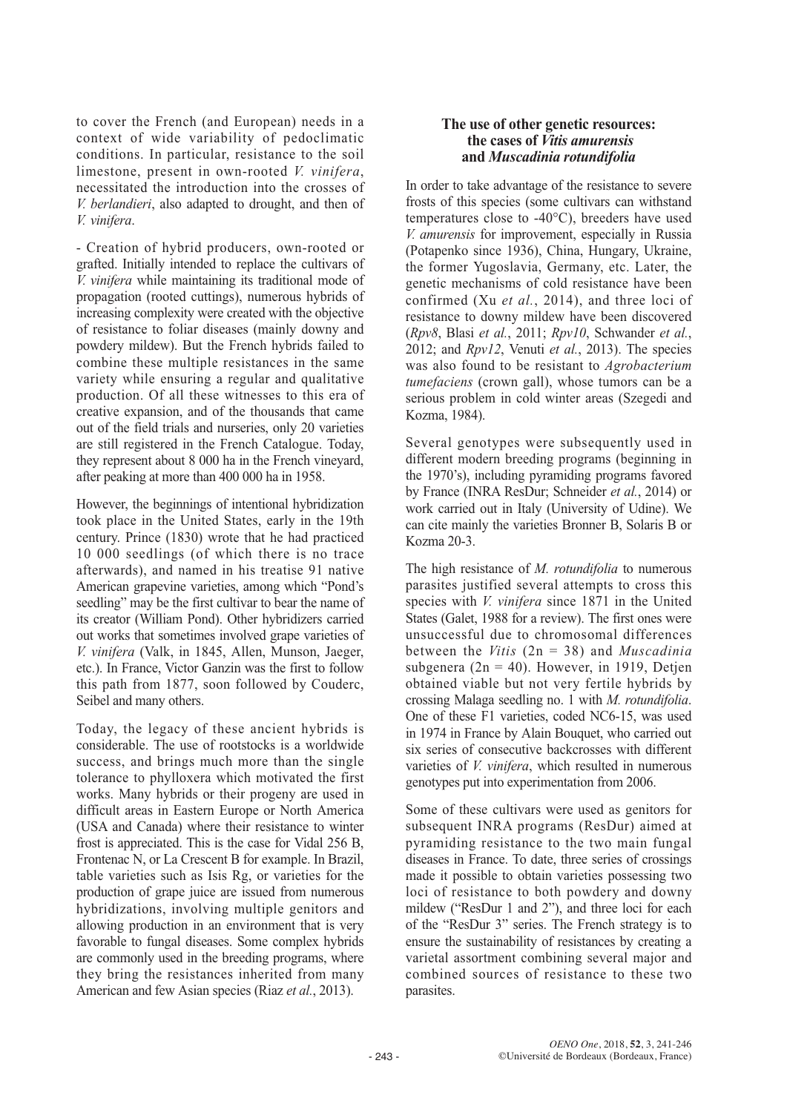to cover the French (and European) needs in a context of wide variability of pedoclimatic conditions. In particular, resistance to the soil limestone, present in own-rooted *V. vinifera*, necessitated the introduction into the crosses of *V. berlandieri*, also adapted to drought, and then of *V. vinifera*.

- Creation of hybrid producers, own-rooted or grafted. Initially intended to replace the cultivars of *V. vinifera* while maintaining its traditional mode of propagation (rooted cuttings), numerous hybrids of increasing complexity were created with the objective of resistance to foliar diseases (mainly downy and powdery mildew). But the French hybrids failed to combine these multiple resistances in the same variety while ensuring a regular and qualitative production. Of all these witnesses to this era of creative expansion, and of the thousands that came out of the field trials and nurseries, only 20 varieties are still registered in the French Catalogue. Today, they represent about 8 000 ha in the French vineyard, after peaking at more than 400 000 ha in 1958.

However, the beginnings of intentional hybridization took place in the United States, early in the 19th century. Prince (1830) wrote that he had practiced 10 000 seedlings (of which there is no trace afterwards), and named in his treatise 91 native American grapevine varieties, among which "Pond's seedling" may be the first cultivar to bear the name of its creator (William Pond). Other hybridizers carried out works that sometimes involved grape varieties of *V. vinifera* (Valk, in 1845, Allen, Munson, Jaeger, etc.). In France, Victor Ganzin was the first to follow this path from 1877, soon followed by Couderc, Seibel and many others.

Today, the legacy of these ancient hybrids is considerable. The use of rootstocks is a worldwide success, and brings much more than the single tolerance to phylloxera which motivated the first works. Many hybrids or their progeny are used in difficult areas in Eastern Europe or North America (USA and Canada) where their resistance to winter frost is appreciated. This is the case for Vidal 256 B, Frontenac N, or La Crescent B for example. In Brazil, table varieties such as Isis Rg, or varieties for the production of grape juice are issued from numerous hybridizations, involving multiple genitors and allowing production in an environment that is very favorable to fungal diseases. Some complex hybrids are commonly used in the breeding programs, where they bring the resistances inherited from many American and few Asian species (Riaz *et al.*, 2013).

### **The use of other genetic resources: the cases of** *Vitis amurensis* **and** *Muscadinia rotundifolia*

In order to take advantage of the resistance to severe frosts of this species (some cultivars can withstand temperatures close to -40°C), breeders have used *V. amurensis* for improvement, especially in Russia (Potapenko since 1936), China, Hungary, Ukraine, the former Yugoslavia, Germany, etc. Later, the genetic mechanisms of cold resistance have been confirmed (Xu *et al.*, 2014), and three loci of resistance to downy mildew have been discovered (*Rpv8*, Blasi *et al.*, 2011; *Rpv10*, Schwander *et al.*, 2012; and *Rpv12*, Venuti *et al.*, 2013). The species was also found to be resistant to *Agrobacterium tumefaciens* (crown gall), whose tumors can be a serious problem in cold winter areas (Szegedi and Kozma, 1984).

Several genotypes were subsequently used in different modern breeding programs (beginning in the 1970's), including pyramiding programs favored by France (INRA ResDur; Schneider *et al.*, 2014) or work carried out in Italy (University of Udine). We can cite mainly the varieties Bronner B, Solaris B or Kozma 20-3.

The high resistance of *M. rotundifolia* to numerous parasites justified several attempts to cross this species with *V. vinifera* since 1871 in the United States (Galet, 1988 for a review). The first ones were unsuccessful due to chromosomal differences between the *Vitis* (2n = 38) and *Muscadinia* subgenera ( $2n = 40$ ). However, in 1919, Detjen obtained viable but not very fertile hybrids by crossing Malaga seedling no. 1 with *M. rotundifolia*. One of these F1 varieties, coded NC6-15, was used in 1974 in France by Alain Bouquet, who carried out six series of consecutive backcrosses with different varieties of *V. vinifera*, which resulted in numerous genotypes put into experimentation from 2006.

Some of these cultivars were used as genitors for subsequent INRA programs (ResDur) aimed at pyramiding resistance to the two main fungal diseases in France. To date, three series of crossings made it possible to obtain varieties possessing two loci of resistance to both powdery and downy mildew ("ResDur 1 and 2"), and three loci for each of the "ResDur 3" series. The French strategy is to ensure the sustainability of resistances by creating a varietal assortment combining several major and combined sources of resistance to these two parasites.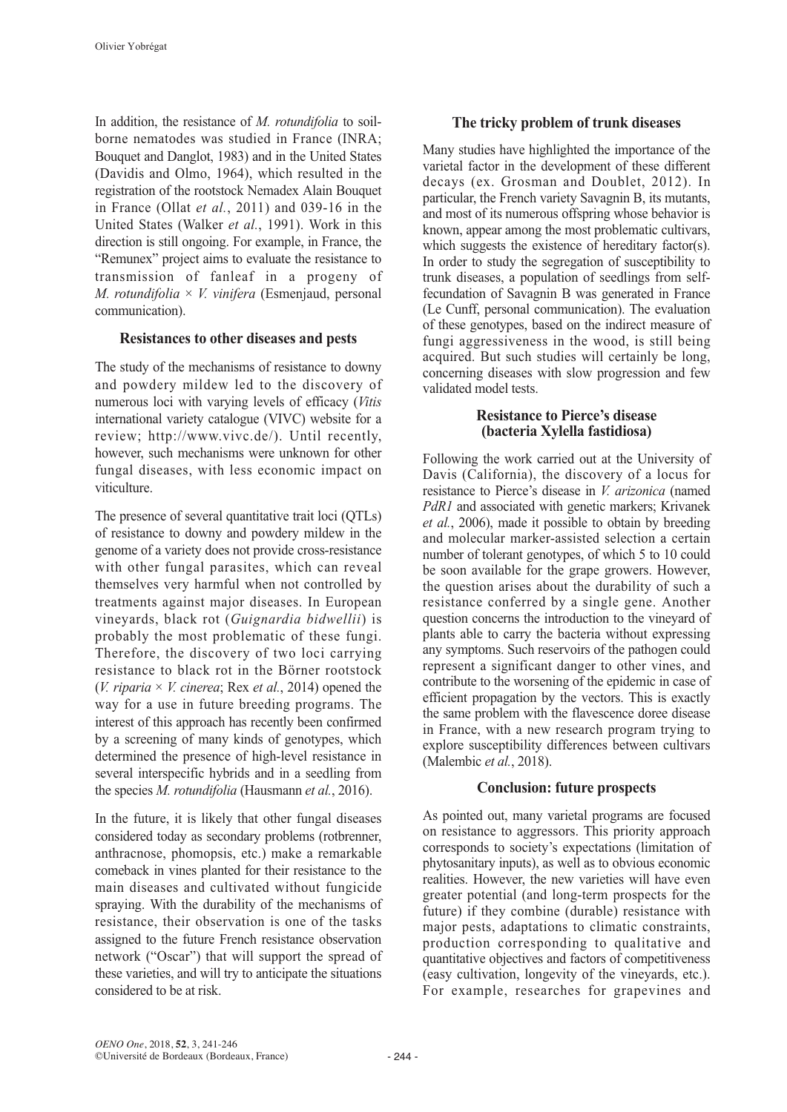In addition, the resistance of *M. rotundifolia* to soilborne nematodes was studied in France (INRA; Bouquet and Danglot, 1983) and in the United States (Davidis and Olmo, 1964), which resulted in the registration of the rootstock Nemadex Alain Bouquet in France (Ollat *et al.*, 2011) and 039-16 in the United States (Walker *et al.*, 1991). Work in this direction is still ongoing. For example, in France, the "Remunex" project aims to evaluate the resistance to transmission of fanleaf in a progeny of *M. rotundifolia* × *V. vinifera* (Esmenjaud, personal communication).

### **Resistances to other diseases and pests**

The study of the mechanisms of resistance to downy and powdery mildew led to the discovery of numerous loci with varying levels of efficacy (*Vitis* international variety catalogue (VIVC) website for a review; http://www.vivc.de/). Until recently, however, such mechanisms were unknown for other fungal diseases, with less economic impact on viticulture.

The presence of several quantitative trait loci (QTLs) of resistance to downy and powdery mildew in the genome of a variety does not provide cross-resistance with other fungal parasites, which can reveal themselves very harmful when not controlled by treatments against major diseases. In European vineyards, black rot (*Guignardia bidwellii*) is probably the most problematic of these fungi. Therefore, the discovery of two loci carrying resistance to black rot in the Börner rootstock (*V. riparia*  $\times$  *V. cinerea*; Rex *et al.*, 2014) opened the way for a use in future breeding programs. The interest of this approach has recently been confirmed by a screening of many kinds of genotypes, which determined the presence of high-level resistance in several interspecific hybrids and in a seedling from the species *M. rotundifolia* (Hausmann *et al.*, 2016).

In the future, it is likely that other fungal diseases considered today as secondary problems (rotbrenner, anthracnose, phomopsis, etc.) make a remarkable comeback in vines planted for their resistance to the main diseases and cultivated without fungicide spraying. With the durability of the mechanisms of resistance, their observation is one of the tasks assigned to the future French resistance observation network ("Oscar") that will support the spread of these varieties, and will try to anticipate the situations considered to be at risk.

# **The tricky problem of trunk diseases**

Many studies have highlighted the importance of the varietal factor in the development of these different decays (ex. Grosman and Doublet, 2012). In particular, the French variety Savagnin B, its mutants, and most of its numerous offspring whose behavior is known, appear among the most problematic cultivars, which suggests the existence of hereditary factor(s). In order to study the segregation of susceptibility to trunk diseases, a population of seedlings from selffecundation of Savagnin B was generated in France (Le Cunff, personal communication). The evaluation of these genotypes, based on the indirect measure of fungi aggressiveness in the wood, is still being acquired. But such studies will certainly be long, concerning diseases with slow progression and few validated model tests.

### **Resistance to Pierce's disease (bacteria Xylella fastidiosa)**

Following the work carried out at the University of Davis (California), the discovery of a locus for resistance to Pierce's disease in *V. arizonica* (named *PdR1* and associated with genetic markers; Krivanek *et al.*, 2006), made it possible to obtain by breeding and molecular marker-assisted selection a certain number of tolerant genotypes, of which 5 to 10 could be soon available for the grape growers. However, the question arises about the durability of such a resistance conferred by a single gene. Another question concerns the introduction to the vineyard of plants able to carry the bacteria without expressing any symptoms. Such reservoirs of the pathogen could represent a significant danger to other vines, and contribute to the worsening of the epidemic in case of efficient propagation by the vectors. This is exactly the same problem with the flavescence doree disease in France, with a new research program trying to explore susceptibility differences between cultivars (Malembic *et al.*, 2018).

## **Conclusion: future prospects**

As pointed out, many varietal programs are focused on resistance to aggressors. This priority approach corresponds to society's expectations (limitation of phytosanitary inputs), as well as to obvious economic realities. However, the new varieties will have even greater potential (and long-term prospects for the future) if they combine (durable) resistance with major pests, adaptations to climatic constraints, production corresponding to qualitative and quantitative objectives and factors of competitiveness (easy cultivation, longevity of the vineyards, etc.). For example, researches for grapevines and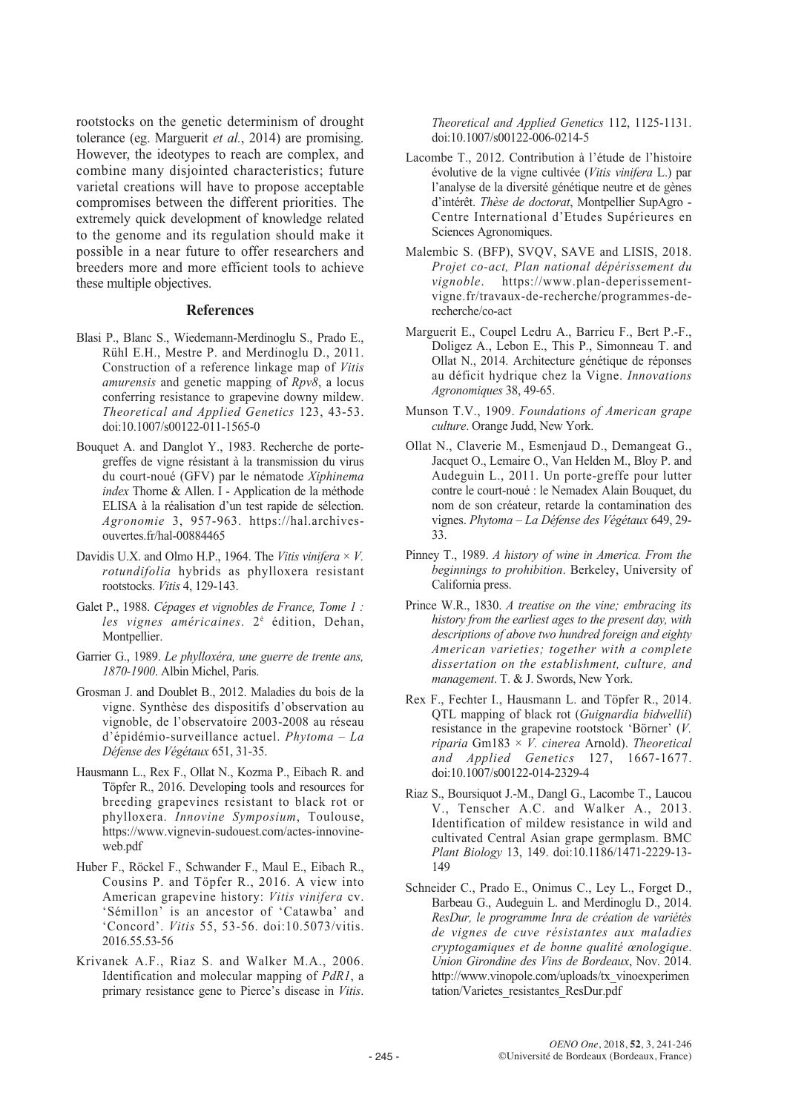rootstocks on the genetic determinism of drought tolerance (eg. Marguerit *et al.*, 2014) are promising. However, the ideotypes to reach are complex, and combine many disjointed characteristics; future varietal creations will have to propose acceptable compromises between the different priorities. The extremely quick development of knowledge related to the genome and its regulation should make it possible in a near future to offer researchers and breeders more and more efficient tools to achieve these multiple objectives.

#### **References**

- Blasi P., Blanc S., Wiedemann-Merdinoglu S., Prado E., Rühl E.H., Mestre P. and Merdinoglu D., 2011. Construction of a reference linkage map of *Vitis amurensis* and genetic mapping of *Rpv8*, a locus conferring resistance to grapevine downy mildew. *Theoretical and Applied Genetics* 123, 43-53. doi:10.1007/s00122-011-1565-0
- Bouquet A. and Danglot Y., 1983. Recherche de portegreffes de vigne résistant à la transmission du virus du court-noué (GFV) par le nématode *Xiphinema index* Thorne & Allen. I - Application de la méthode ELISA à la réalisation d'un test rapide de sélection. *Agronomie* 3, 957-963. https://hal.archivesouvertes.fr/hal-00884465
- Davidis U.X. and Olmo H.P., 1964. The Vitis vinifera  $\times$  V. *rotundifolia* hybrids as phylloxera resistant rootstocks. *Vitis* 4, 129-143.
- Galet P., 1988. *Cépages et vignobles de France, Tome 1 : les vignes américaines*. 2è édition, Dehan, Montpellier.
- Garrier G., 1989. *Le phylloxéra, une guerre de trente ans, 1870-1900*. Albin Michel, Paris.
- Grosman J. and Doublet B., 2012. Maladies du bois de la vigne. Synthèse des dispositifs d'observation au vignoble, de l'observatoire 2003-2008 au réseau d'épidémio-surveillance actuel. *Phytoma – La Défense des Végétaux* 651, 31-35.
- Hausmann L., Rex F., Ollat N., Kozma P., Eibach R. and Töpfer R., 2016. Developing tools and resources for breeding grapevines resistant to black rot or phylloxera. *Innovine Symposium*, Toulouse, https://www.vignevin-sudouest.com/actes-innovineweb.pdf
- Huber F., Röckel F., Schwander F., Maul E., Eibach R., Cousins P. and Töpfer R., 2016. A view into American grapevine history: *Vitis vinifera* cv. 'Sémillon' is an ancestor of 'Catawba' and 'Concord'. *Vitis* 55, 53-56. doi:10.5073/vitis. 2016.55.53-56
- Krivanek A.F., Riaz S. and Walker M.A., 2006. Identification and molecular mapping of *PdR1*, a primary resistance gene to Pierce's disease in *Vitis*.

*Theoretical and Applied Genetics* 112, 1125-1131. doi:10.1007/s00122-006-0214-5

- Lacombe T., 2012. Contribution à l'étude de l'histoire évolutive de la vigne cultivée (*Vitis vinifera* L.) par l'analyse de la diversité génétique neutre et de gènes d'intérêt. *Thèse de doctorat*, Montpellier SupAgro - Centre International d'Etudes Supérieures en Sciences Agronomiques.
- Malembic S. (BFP), SVQV, SAVE and LISIS, 2018. *Projet co-act, Plan national dépérissement du vignoble*. https://www.plan-deperissementvigne.fr/travaux-de-recherche/programmes-derecherche/co-act
- Marguerit E., Coupel Ledru A., Barrieu F., Bert P.-F., Doligez A., Lebon E., This P., Simonneau T. and Ollat N., 2014. Architecture génétique de réponses au déficit hydrique chez la Vigne. *Innovations Agronomiques* 38, 49-65.
- Munson T.V., 1909. *Foundations of American grape culture*. Orange Judd, New York.
- Ollat N., Claverie M., Esmenjaud D., Demangeat G., Jacquet O., Lemaire O., Van Helden M., Bloy P. and Audeguin L., 2011. Un porte-greffe pour lutter contre le court-noué : le Nemadex Alain Bouquet, du nom de son créateur, retarde la contamination des vignes. *Phytoma – La Défense des Végétaux* 649, 29- 33.
- Pinney T., 1989. *A history of wine in America. From the beginnings to prohibition*. Berkeley, University of California press.
- Prince W.R., 1830. *A treatise on the vine; embracing its history from the earliest ages to the present day, with descriptions of above two hundred foreign and eighty American varieties; together with a complete dissertation on the establishment, culture, and management*. T. & J. Swords, New York.
- Rex F., Fechter I., Hausmann L. and Töpfer R., 2014. QTL mapping of black rot (*Guignardia bidwellii*) resistance in the grapevine rootstock 'Börner' (*V. riparia* Gm183 × *V. cinerea* Arnold). *Theoretical and Applied Genetics* 127, 1667-1677. doi:10.1007/s00122-014-2329-4
- Riaz S., Boursiquot J.-M., Dangl G., Lacombe T., Laucou V., Tenscher A.C. and Walker A., 2013. Identification of mildew resistance in wild and cultivated Central Asian grape germplasm. BMC *Plant Biology* 13, 149. doi:10.1186/1471-2229-13- 149
- Schneider C., Prado E., Onimus C., Ley L., Forget D., Barbeau G., Audeguin L. and Merdinoglu D., 2014. *ResDur, le programme Inra de création de variétés de vignes de cuve résistantes aux maladies cryptogamiques et de bonne qualité œnologique*. *Union Girondine des Vins de Bordeaux*, Nov. 2014. http://www.vinopole.com/uploads/tx\_vinoexperimen tation/Varietes\_resistantes\_ResDur.pdf